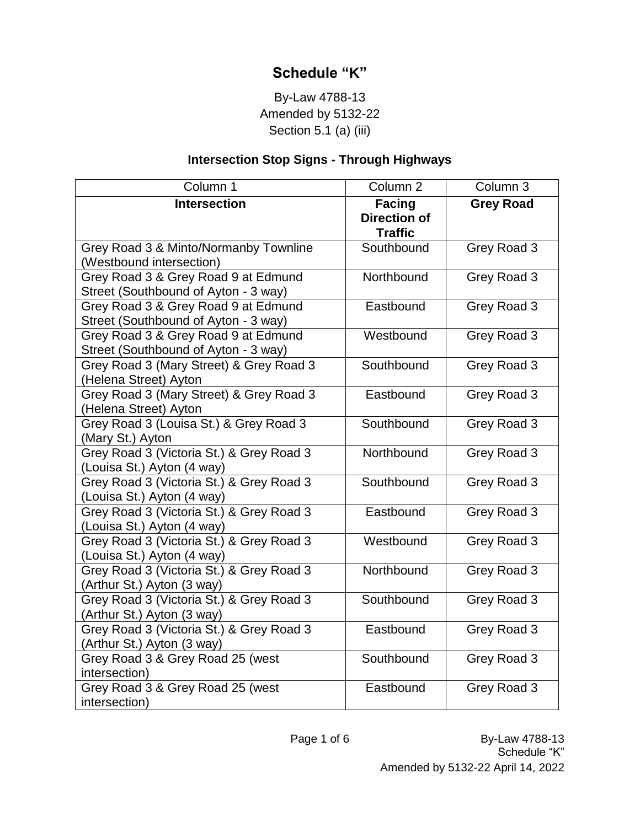## **Schedule "K"**

## By-Law 4788-13 Amended by 5132-22 Section 5.1 (a) (iii)

## **Intersection Stop Signs - Through Highways**

| Column 1                                                                    | Column 2                                               | Column 3         |
|-----------------------------------------------------------------------------|--------------------------------------------------------|------------------|
| <b>Intersection</b>                                                         | <b>Facing</b><br><b>Direction of</b><br><b>Traffic</b> | <b>Grey Road</b> |
| Grey Road 3 & Minto/Normanby Townline<br>(Westbound intersection)           | Southbound                                             | Grey Road 3      |
| Grey Road 3 & Grey Road 9 at Edmund<br>Street (Southbound of Ayton - 3 way) | Northbound                                             | Grey Road 3      |
| Grey Road 3 & Grey Road 9 at Edmund<br>Street (Southbound of Ayton - 3 way) | Eastbound                                              | Grey Road 3      |
| Grey Road 3 & Grey Road 9 at Edmund<br>Street (Southbound of Ayton - 3 way) | Westbound                                              | Grey Road 3      |
| Grey Road 3 (Mary Street) & Grey Road 3<br>(Helena Street) Ayton            | Southbound                                             | Grey Road 3      |
| Grey Road 3 (Mary Street) & Grey Road 3<br>(Helena Street) Ayton            | Eastbound                                              | Grey Road 3      |
| Grey Road 3 (Louisa St.) & Grey Road 3<br>(Mary St.) Ayton                  | Southbound                                             | Grey Road 3      |
| Grey Road 3 (Victoria St.) & Grey Road 3<br>(Louisa St.) Ayton (4 way)      | Northbound                                             | Grey Road 3      |
| Grey Road 3 (Victoria St.) & Grey Road 3<br>(Louisa St.) Ayton (4 way)      | Southbound                                             | Grey Road 3      |
| Grey Road 3 (Victoria St.) & Grey Road 3<br>(Louisa St.) Ayton (4 way)      | Eastbound                                              | Grey Road 3      |
| Grey Road 3 (Victoria St.) & Grey Road 3<br>(Louisa St.) Ayton (4 way)      | Westbound                                              | Grey Road 3      |
| Grey Road 3 (Victoria St.) & Grey Road 3<br>(Arthur St.) Ayton (3 way)      | Northbound                                             | Grey Road 3      |
| Grey Road 3 (Victoria St.) & Grey Road 3<br>(Arthur St.) Ayton (3 way)      | Southbound                                             | Grey Road 3      |
| Grey Road 3 (Victoria St.) & Grey Road 3<br>(Arthur St.) Ayton (3 way)      | Eastbound                                              | Grey Road 3      |
| Grey Road 3 & Grey Road 25 (west<br>intersection)                           | Southbound                                             | Grey Road 3      |
| Grey Road 3 & Grey Road 25 (west<br>intersection)                           | Eastbound                                              | Grey Road 3      |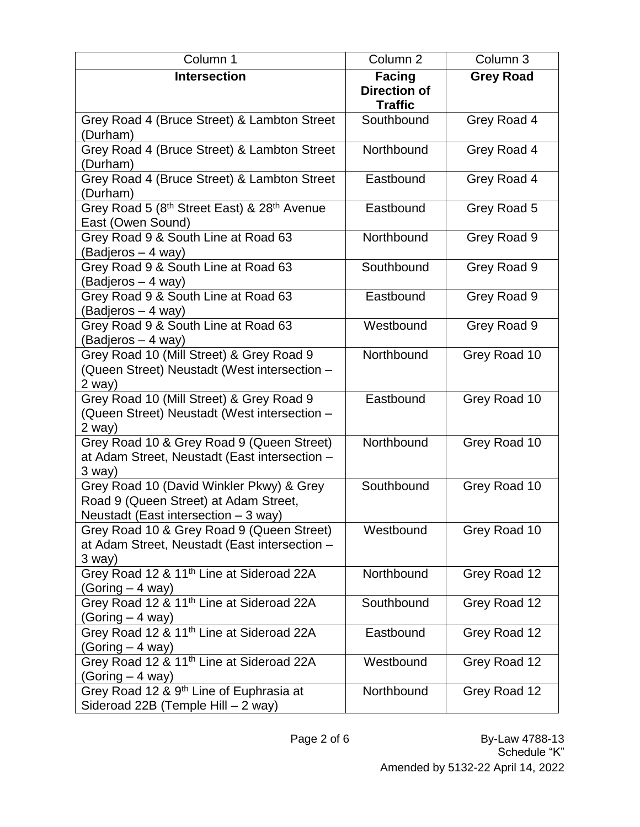| Column 1                                                                                                                  | Column <sub>2</sub>                   | Column 3         |
|---------------------------------------------------------------------------------------------------------------------------|---------------------------------------|------------------|
| <b>Intersection</b>                                                                                                       | <b>Facing</b>                         | <b>Grey Road</b> |
|                                                                                                                           | <b>Direction of</b><br><b>Traffic</b> |                  |
| Grey Road 4 (Bruce Street) & Lambton Street<br>(Durham)                                                                   | Southbound                            | Grey Road 4      |
| Grey Road 4 (Bruce Street) & Lambton Street<br>(Durham)                                                                   | Northbound                            | Grey Road 4      |
| Grey Road 4 (Bruce Street) & Lambton Street<br>(Durham)                                                                   | Eastbound                             | Grey Road 4      |
| Grey Road 5 (8 <sup>th</sup> Street East) & 28 <sup>th</sup> Avenue<br>East (Owen Sound)                                  | Eastbound                             | Grey Road 5      |
| Grey Road 9 & South Line at Road 63<br>(Badjeros – 4 way)                                                                 | Northbound                            | Grey Road 9      |
| Grey Road 9 & South Line at Road 63<br>(Badjeros – 4 way)                                                                 | Southbound                            | Grey Road 9      |
| Grey Road 9 & South Line at Road 63<br>(Badjeros – 4 way)                                                                 | Eastbound                             | Grey Road 9      |
| Grey Road 9 & South Line at Road 63<br>(Badjeros - 4 way)                                                                 | Westbound                             | Grey Road 9      |
| Grey Road 10 (Mill Street) & Grey Road 9<br>(Queen Street) Neustadt (West intersection -<br>2 way)                        | Northbound                            | Grey Road 10     |
| Grey Road 10 (Mill Street) & Grey Road 9<br>(Queen Street) Neustadt (West intersection -<br>$2$ way)                      | Eastbound                             | Grey Road 10     |
| Grey Road 10 & Grey Road 9 (Queen Street)<br>at Adam Street, Neustadt (East intersection -<br>3 way)                      | Northbound                            | Grey Road 10     |
| Grey Road 10 (David Winkler Pkwy) & Grey<br>Road 9 (Queen Street) at Adam Street,<br>Neustadt (East intersection - 3 way) | Southbound                            | Grey Road 10     |
| Grey Road 10 & Grey Road 9 (Queen Street)<br>at Adam Street, Neustadt (East intersection -<br>3 way)                      | Westbound                             | Grey Road 10     |
| Grey Road 12 & 11 <sup>th</sup> Line at Sideroad 22A<br>(Goring – 4 way)                                                  | Northbound                            | Grey Road 12     |
| Grey Road 12 & 11 <sup>th</sup> Line at Sideroad 22A<br>(Goring – 4 way)                                                  | Southbound                            | Grey Road 12     |
| Grey Road 12 & 11 <sup>th</sup> Line at Sideroad 22A<br>(Goring – 4 way)                                                  | Eastbound                             | Grey Road 12     |
| Grey Road 12 & 11 <sup>th</sup> Line at Sideroad 22A<br>$(Goring - 4 way)$                                                | Westbound                             | Grey Road 12     |
| Grey Road 12 & 9 <sup>th</sup> Line of Euphrasia at<br>Sideroad 22B (Temple Hill - 2 way)                                 | Northbound                            | Grey Road 12     |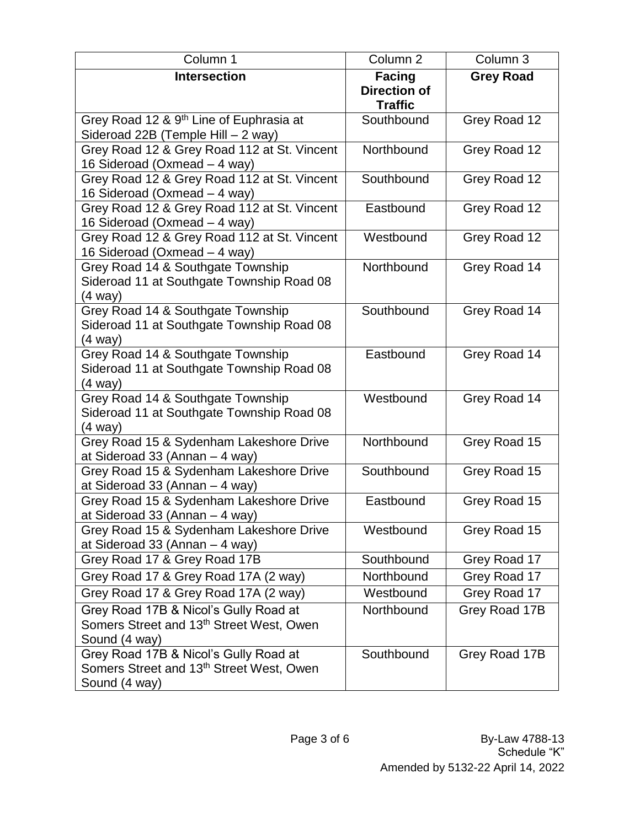| Column 1                                             | Column <sub>2</sub>                  | Column 3         |
|------------------------------------------------------|--------------------------------------|------------------|
| <b>Intersection</b>                                  | <b>Facing</b><br><b>Direction of</b> | <b>Grey Road</b> |
|                                                      | <b>Traffic</b>                       |                  |
| Grey Road 12 & 9 <sup>th</sup> Line of Euphrasia at  | Southbound                           | Grey Road 12     |
| Sideroad 22B (Temple Hill - 2 way)                   |                                      |                  |
| Grey Road 12 & Grey Road 112 at St. Vincent          | Northbound                           | Grey Road 12     |
| 16 Sideroad (Oxmead - 4 way)                         |                                      |                  |
| Grey Road 12 & Grey Road 112 at St. Vincent          | Southbound                           | Grey Road 12     |
| 16 Sideroad (Oxmead - 4 way)                         |                                      |                  |
| Grey Road 12 & Grey Road 112 at St. Vincent          | Eastbound                            | Grey Road 12     |
| 16 Sideroad (Oxmead - 4 way)                         |                                      |                  |
| Grey Road 12 & Grey Road 112 at St. Vincent          | Westbound                            | Grey Road 12     |
| 16 Sideroad (Oxmead - 4 way)                         |                                      |                  |
| Grey Road 14 & Southgate Township                    | Northbound                           | Grey Road 14     |
| Sideroad 11 at Southgate Township Road 08<br>(4 way) |                                      |                  |
| Grey Road 14 & Southgate Township                    | Southbound                           | Grey Road 14     |
| Sideroad 11 at Southgate Township Road 08            |                                      |                  |
| (4 way)                                              |                                      |                  |
| Grey Road 14 & Southgate Township                    | Eastbound                            | Grey Road 14     |
| Sideroad 11 at Southgate Township Road 08            |                                      |                  |
| (4 way)                                              |                                      |                  |
| Grey Road 14 & Southgate Township                    | Westbound                            | Grey Road 14     |
| Sideroad 11 at Southgate Township Road 08            |                                      |                  |
| (4 way)                                              |                                      |                  |
| Grey Road 15 & Sydenham Lakeshore Drive              | Northbound                           | Grey Road 15     |
| at Sideroad 33 (Annan - 4 way)                       |                                      |                  |
| Grey Road 15 & Sydenham Lakeshore Drive              | Southbound                           | Grey Road 15     |
| at Sideroad 33 (Annan - 4 way)                       |                                      |                  |
| Grey Road 15 & Sydenham Lakeshore Drive              | Eastbound                            | Grey Road 15     |
| at Sideroad 33 (Annan - 4 way)                       |                                      |                  |
| Grey Road 15 & Sydenham Lakeshore Drive              | Westbound                            | Grey Road 15     |
| at Sideroad 33 (Annan $-$ 4 way)                     |                                      |                  |
| Grey Road 17 & Grey Road 17B                         | Southbound                           | Grey Road 17     |
| Grey Road 17 & Grey Road 17A (2 way)                 | Northbound                           | Grey Road 17     |
| Grey Road 17 & Grey Road 17A (2 way)                 | Westbound                            | Grey Road 17     |
| Grey Road 17B & Nicol's Gully Road at                | Northbound                           | Grey Road 17B    |
| Somers Street and 13 <sup>th</sup> Street West, Owen |                                      |                  |
| Sound (4 way)                                        |                                      |                  |
| Grey Road 17B & Nicol's Gully Road at                | Southbound                           | Grey Road 17B    |
| Somers Street and 13 <sup>th</sup> Street West, Owen |                                      |                  |
| Sound (4 way)                                        |                                      |                  |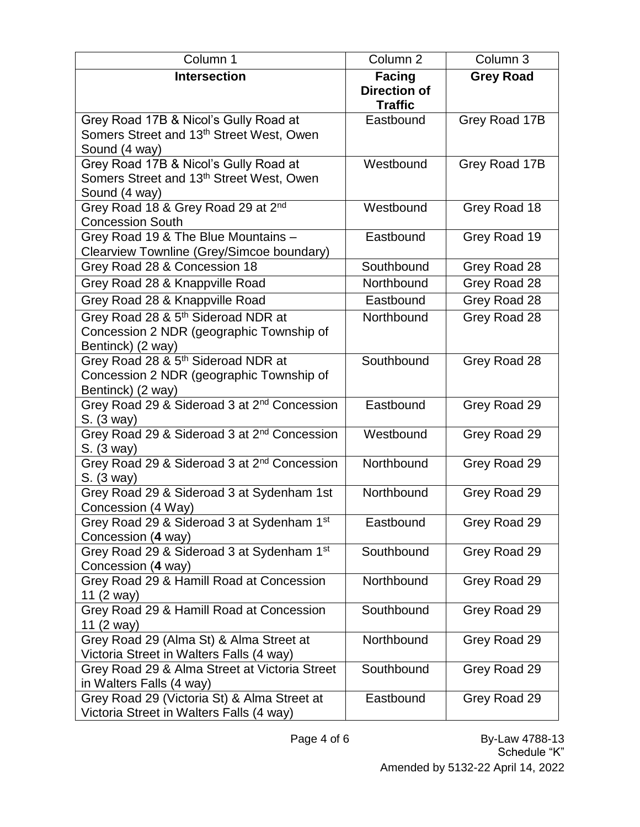| Column 1                                                                         | Column <sub>2</sub>         | Column 3         |
|----------------------------------------------------------------------------------|-----------------------------|------------------|
| <b>Intersection</b>                                                              | <b>Facing</b>               | <b>Grey Road</b> |
|                                                                                  | <b>Direction of</b>         |                  |
| Grey Road 17B & Nicol's Gully Road at                                            | <b>Traffic</b><br>Eastbound | Grey Road 17B    |
| Somers Street and 13 <sup>th</sup> Street West, Owen                             |                             |                  |
| Sound (4 way)                                                                    |                             |                  |
| Grey Road 17B & Nicol's Gully Road at                                            | Westbound                   | Grey Road 17B    |
| Somers Street and 13 <sup>th</sup> Street West, Owen                             |                             |                  |
| Sound (4 way)                                                                    |                             |                  |
| Grey Road 18 & Grey Road 29 at 2 <sup>nd</sup>                                   | Westbound                   | Grey Road 18     |
| <b>Concession South</b>                                                          |                             |                  |
| Grey Road 19 & The Blue Mountains -<br>Clearview Townline (Grey/Simcoe boundary) | Eastbound                   | Grey Road 19     |
| Grey Road 28 & Concession 18                                                     | Southbound                  | Grey Road 28     |
| Grey Road 28 & Knappville Road                                                   | Northbound                  | Grey Road 28     |
| Grey Road 28 & Knappville Road                                                   | Eastbound                   | Grey Road 28     |
| Grey Road 28 & 5 <sup>th</sup> Sideroad NDR at                                   | Northbound                  | Grey Road 28     |
| Concession 2 NDR (geographic Township of                                         |                             |                  |
| Bentinck) (2 way)                                                                |                             |                  |
| Grey Road 28 & 5 <sup>th</sup> Sideroad NDR at                                   | Southbound                  | Grey Road 28     |
| Concession 2 NDR (geographic Township of                                         |                             |                  |
| Bentinck) (2 way)                                                                |                             |                  |
| Grey Road 29 & Sideroad 3 at 2 <sup>nd</sup> Concession                          | Eastbound                   | Grey Road 29     |
| S. (3 way)                                                                       | Westbound                   |                  |
| Grey Road 29 & Sideroad 3 at 2 <sup>nd</sup> Concession<br>S. (3 way)            |                             | Grey Road 29     |
| Grey Road 29 & Sideroad 3 at 2 <sup>nd</sup> Concession                          | Northbound                  | Grey Road 29     |
| S. (3 way)                                                                       |                             |                  |
| Grey Road 29 & Sideroad 3 at Sydenham 1st                                        | Northbound                  | Grey Road 29     |
| Concession (4 Way)                                                               |                             |                  |
| Grey Road 29 & Sideroad 3 at Sydenham 1st                                        | Eastbound                   | Grey Road 29     |
| Concession (4 way)                                                               |                             |                  |
| Grey Road 29 & Sideroad 3 at Sydenham 1st<br>Concession (4 way)                  | Southbound                  | Grey Road 29     |
| Grey Road 29 & Hamill Road at Concession                                         | Northbound                  | Grey Road 29     |
| 11 (2 way)                                                                       |                             |                  |
| Grey Road 29 & Hamill Road at Concession                                         | Southbound                  | Grey Road 29     |
| 11 (2 way)                                                                       |                             |                  |
| Grey Road 29 (Alma St) & Alma Street at                                          | Northbound                  | Grey Road 29     |
| Victoria Street in Walters Falls (4 way)                                         |                             |                  |
| Grey Road 29 & Alma Street at Victoria Street                                    | Southbound                  | Grey Road 29     |
| in Walters Falls (4 way)<br>Grey Road 29 (Victoria St) & Alma Street at          | Eastbound                   | Grey Road 29     |
| Victoria Street in Walters Falls (4 way)                                         |                             |                  |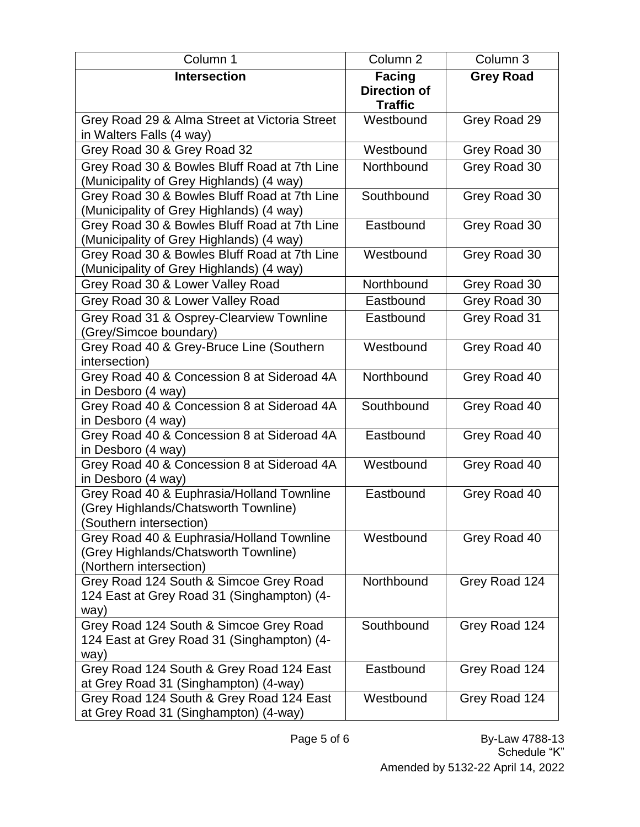| Column 1                                                                                                     | Column <sub>2</sub> | Column 3         |
|--------------------------------------------------------------------------------------------------------------|---------------------|------------------|
| <b>Intersection</b>                                                                                          | <b>Facing</b>       | <b>Grey Road</b> |
|                                                                                                              | <b>Direction of</b> |                  |
|                                                                                                              | <b>Traffic</b>      |                  |
| Grey Road 29 & Alma Street at Victoria Street                                                                | Westbound           | Grey Road 29     |
| in Walters Falls (4 way)                                                                                     | Westbound           |                  |
| Grey Road 30 & Grey Road 32                                                                                  |                     | Grey Road 30     |
| Grey Road 30 & Bowles Bluff Road at 7th Line<br>(Municipality of Grey Highlands) (4 way)                     | Northbound          | Grey Road 30     |
| Grey Road 30 & Bowles Bluff Road at 7th Line<br>(Municipality of Grey Highlands) (4 way)                     | Southbound          | Grey Road 30     |
| Grey Road 30 & Bowles Bluff Road at 7th Line<br>(Municipality of Grey Highlands) (4 way)                     | Eastbound           | Grey Road 30     |
| Grey Road 30 & Bowles Bluff Road at 7th Line<br>(Municipality of Grey Highlands) (4 way)                     | Westbound           | Grey Road 30     |
| Grey Road 30 & Lower Valley Road                                                                             | Northbound          | Grey Road 30     |
| Grey Road 30 & Lower Valley Road                                                                             | Eastbound           | Grey Road 30     |
| Grey Road 31 & Osprey-Clearview Townline                                                                     | Eastbound           | Grey Road 31     |
| (Grey/Simcoe boundary)                                                                                       |                     |                  |
| Grey Road 40 & Grey-Bruce Line (Southern<br>intersection)                                                    | Westbound           | Grey Road 40     |
| Grey Road 40 & Concession 8 at Sideroad 4A<br>in Desboro (4 way)                                             | Northbound          | Grey Road 40     |
| Grey Road 40 & Concession 8 at Sideroad 4A<br>in Desboro (4 way)                                             | Southbound          | Grey Road 40     |
| Grey Road 40 & Concession 8 at Sideroad 4A<br>in Desboro (4 way)                                             | Eastbound           | Grey Road 40     |
| Grey Road 40 & Concession 8 at Sideroad 4A                                                                   | Westbound           | Grey Road 40     |
| in Desboro (4 way)                                                                                           |                     |                  |
| Grey Road 40 & Euphrasia/Holland Townline<br>(Grey Highlands/Chatsworth Townline)<br>Southern intersection)  | Eastbound           | Grey Road 40     |
| Grey Road 40 & Euphrasia/Holland Townline<br>(Grey Highlands/Chatsworth Townline)<br>(Northern intersection) | Westbound           | Grey Road 40     |
| Grey Road 124 South & Simcoe Grey Road<br>124 East at Grey Road 31 (Singhampton) (4-<br>way)                 | Northbound          | Grey Road 124    |
| Grey Road 124 South & Simcoe Grey Road<br>124 East at Grey Road 31 (Singhampton) (4-<br>way)                 | Southbound          | Grey Road 124    |
| Grey Road 124 South & Grey Road 124 East<br>at Grey Road 31 (Singhampton) (4-way)                            | Eastbound           | Grey Road 124    |
| Grey Road 124 South & Grey Road 124 East<br>at Grey Road 31 (Singhampton) (4-way)                            | Westbound           | Grey Road 124    |